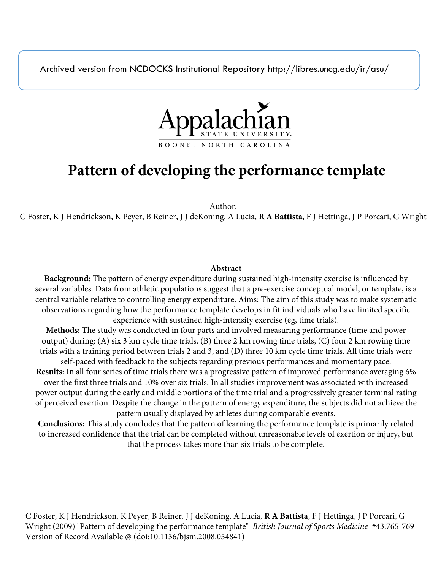Archived version from NCDOCKS Institutional Repository http://libres.uncg.edu/ir/asu/



# **Pattern of developing the performance template**

Author:

C Foster, K J Hendrickson, K Peyer, B Reiner, J J deKoning, A Lucia, **R A Battista**, F J Hettinga, J P Porcari, G Wright

# **Abstract**

**Background:** The pattern of energy expenditure during sustained high-intensity exercise is influenced by several variables. Data from athletic populations suggest that a pre-exercise conceptual model, or template, is a central variable relative to controlling energy expenditure. Aims: The aim of this study was to make systematic observations regarding how the performance template develops in fit individuals who have limited specific experience with sustained high-intensity exercise (eg, time trials).

**Methods:** The study was conducted in four parts and involved measuring performance (time and power output) during: (A) six 3 km cycle time trials, (B) three 2 km rowing time trials, (C) four 2 km rowing time trials with a training period between trials 2 and 3, and (D) three 10 km cycle time trials. All time trials were self-paced with feedback to the subjects regarding previous performances and momentary pace.

**Results:** In all four series of time trials there was a progressive pattern of improved performance averaging 6% over the first three trials and 10% over six trials. In all studies improvement was associated with increased power output during the early and middle portions of the time trial and a progressively greater terminal rating of perceived exertion. Despite the change in the pattern of energy expenditure, the subjects did not achieve the pattern usually displayed by athletes during comparable events.

**Conclusions:** This study concludes that the pattern of learning the performance template is primarily related to increased confidence that the trial can be completed without unreasonable levels of exertion or injury, but that the process takes more than six trials to be complete.

C Foster, K J Hendrickson, K Peyer, B Reiner, J J deKoning, A Lucia, **R A Battista**, F J Hettinga, J P Porcari, G Wright (2009) "Pattern of developing the performance template" *British Journal of Sports Medicine* #43:765-769 Version of Record Available @ (doi:10.1136/bjsm.2008.054841)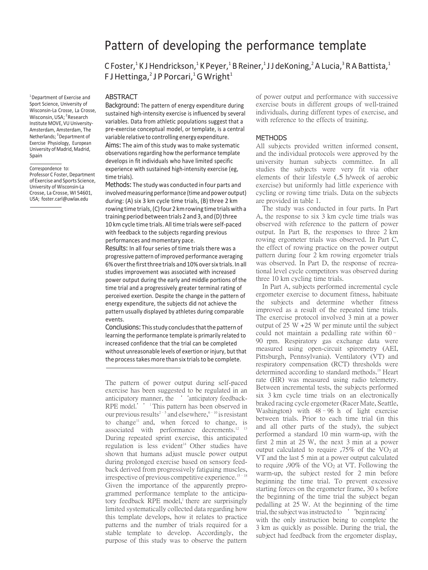<sup>1</sup> Department of Exercise and Sport Science, University of Wisconsin-La Crosse, La Crosse, Wisconsin, USA; <sup>2</sup> Research Institute MOVE, VU University-Amsterdam, Amsterdam, The Netherlands; <sup>3</sup>Department of Exercise Physiology, European University of Madrid, Madrid, Spain

Correspondence to: Professor C Foster, Department of Exercise and Sports Science, University of Wisconsin-La Crosse, La Crosse, WI 54601, USA; [foster.carl@uwlax.edu](mailto:foster.carl@uwlax.edu)

# Pattern of developing the performance template

C Foster,<sup>1</sup> K J Hendrickson,<sup>1</sup> K Peyer,<sup>1</sup> B Reiner,<sup>1</sup> J J deKoning,<sup>2</sup> A Lucia,<sup>3</sup> R A Battista,<sup>1</sup> F J Hettinga,<sup>2</sup> J P Porcari,<sup>1</sup> G Wright<sup>1</sup>

### ABSTRACT

Background: The pattern of energy expenditure during sustained high-intensity exercise is influenced by several variables. Data from athletic populations suggest that a pre-exercise conceptual model, or template, is a central variable relative to controlling energy expenditure. Aims: The aim of this study was to make systematic observations regarding how the performance template develops in fit individuals who have limited specific experience with sustained high-intensity exercise (eg, time trials).

Methods: The study was conducted in four parts and involved measuring performance (time and power output) during: (A) six 3 km cycle time trials, (B) three 2 km rowing time trials, (C) four 2 km rowing time trials with a training period between trials 2 and 3, and (D) three 10 km cycle time trials. All time trials were self-paced with feedback to the subjects regarding previous performances and momentary pace.

Results: In all four series of time trials there was a progressive pattern of improved performance averaging 6% over the first three trials and 10% over six trials. In all studies improvement was associated with increased power output during the early and middle portions of the time trial and a progressively greater terminal rating of perceived exertion. Despite the change in the pattern of energy expenditure, the subjects did not achieve the pattern usually displayed by athletes during comparable events.

Conclusions: This study concludes that the pattern of learning the performance template is primarily related to increased confidence that the trial can be completed without unreasonable levels of exertion or injury, but that the process takes more than six trials to be complete.

The pattern of power output during self-paced exercise has been suggested to be regulated in an anticipatory manner, the ''anticipatory feedback-RPE model.' '<sup>1</sup> This pattern has been observed in our previous results<sup>2-5</sup> and elsewhere,  $6-10$  is resistant to change<sup>11</sup> and, when forced to change, is associated with performance decrements.<sup>12</sup> <sup>13</sup> During repeated sprint exercise, this anticipated regulation is less evident<sup>14</sup> Other studies have shown that humans adjust muscle power output during prolonged exercise based on sensory feedback derived from progressively fatiguing muscles, irrespective of previous competitive experience.<sup>15-18</sup> Given the importance of the apparently preprogrammed performance template to the anticipatory feedback RPE model,<sup>1</sup> there are surprisingly limited systematically collected data regarding how this template develops, how it relates to practice patterns and the number of trials required for a stable template to develop. Accordingly, the purpose of this study was to observe the pattern

of power output and performance with successive exercise bouts in different groups of well-trained individuals, during different types of exercise, and with reference to the effects of training.

#### METHODS

All subjects provided written informed consent, and the individual protocols were approved by the university human subjects committee. In all studies the subjects were very fit via other elements of their lifestyle (.5 h/week of aerobic exercise) but uniformly had little experience with cycling or rowing time trials. Data on the subjects are provided in table 1.

The study was conducted in four parts. In Part A, the response to six 3 km cycle time trials was observed with reference to the pattern of power output. In Part B, the responses to three 2 km rowing ergometer trials was observed. In Part C, the effect of rowing practice on the power output pattern during four 2 km rowing ergometer trials was observed. In Part D, the response of recreational level cycle competitors was observed during three 10 km cycling time trials.

In Part A, subjects performed incremental cycle ergometer exercise to document fitness, habituate the subjects and determine whether fitness improved as a result of the repeated time trials. The exercise protocol involved 3 min at a power output of  $25 W + 25 W$  per minute until the subject could not maintain a pedalling rate within 60– 90 rpm. Respiratory gas exchange data were measured using open-circuit spirometry (AEI, Pittsburgh, Pennsylvania). Ventilatory (VT) and respiratory compensation (RCT) thresholds were determined according to standard methods.<sup>19</sup> Heart rate (HR) was measured using radio telemetry. Between incremental tests, the subjects performed six 3 km cycle time trials on an electronically braked racing cycle ergometer (Racer Mate, Seattle, Washington) with  $48 - 96$  h of light exercise between trials. Prior to each time trial (in this and all other parts of the study), the subject performed a standard 10 min warm-up, with the first 2 min at 25 W, the next 3 min at a power output calculated to require  $.75\%$  of the VO<sub>2</sub> at VT and the last 5 min at a power output calculated to require ,90% of the  $VO<sub>2</sub>$  at VT. Following the warm-up, the subject rested for 2 min before beginning the time trial. To prevent excessive starting forces on the ergometer frame, 30 s before the beginning of the time trial the subject began pedalling at 25 W. At the beginning of the time trial, the subject was instructed to 'begin racing'' with the only instruction being to complete the 3 km as quickly as possible. During the trial, the subject had feedback from the ergometer display,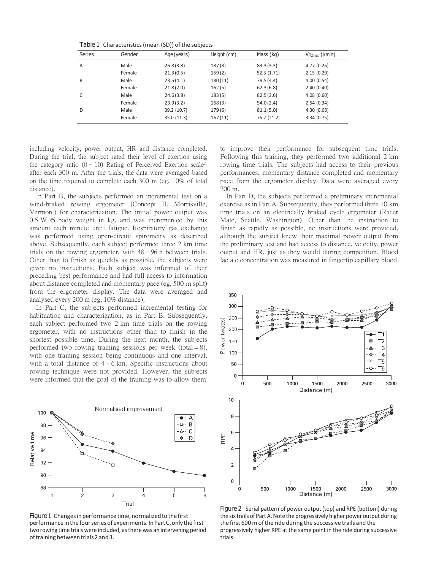|  | Table 1 Characteristics (mean (SD)) of the subjects |  |  |
|--|-----------------------------------------------------|--|--|
|--|-----------------------------------------------------|--|--|

| <b>Series</b> | Gender | Age(years)  | Height (cm) | Mass (kg)   | $Vo_{2max}$ (I/min) |
|---------------|--------|-------------|-------------|-------------|---------------------|
| A             | Male   | 26.8(3.8)   | 187(8)      | 83.3(3.3)   | 4.77(0.26)          |
|               | Female | 21.3(0.5)   | 159(2)      | 52.3 (1.71) | 2.15(0.29)          |
| B             | Male   | 23.5(4.1)   | 180(11)     | 79.5(4.4)   | 4.00(0.54)          |
|               | Female | 21.8(2.0)   | 162(5)      | 62.3(6.8)   | 2.40(0.40)          |
| C             | Male   | 24.6(3.8)   | 183(5)      | 82.5(3.6)   | 4.08(0.60)          |
|               | Female | 23.9(3.2)   | 168(3)      | 54.0(2.4)   | 2.54(0.34)          |
| D             | Male   | 39.2 (10.7) | 179(6)      | 81.1(5.0)   | 4.30(0.68)          |
|               | Female | 35.0 (11.3) | 167(11)     | 76.2 (21.2) | 3.34(0.75)          |

including velocity, power output, HR and distance completed. During the trial, the subject rated their level of exertion using the category ratio (0 – 10) Rating of Perceived Exertion scale<sup>20</sup> after each 300 m. After the trials, the data were averaged based on the time required to complete each 300 m (eg, 10% of total distance).

In Part B, the subjects performed an incremental test on a wind-braked rowing ergometer (Concept II, Morrisville, Vermont) for characterization. The initial power output was 0.5 <sup>W</sup> 6 body weight in kg, and was incremented by this amount each minute until fatigue. Respiratory gas exchange was performed using open-circuit spirometry as described above. Subsequently, each subject performed three 2 km time trials on the rowing ergometer, with 48–96 h between trials. Other than to finish as quickly as possible, the subjects were given no instructions. Each subject was informed of their preceding best performance and had full access to information about distance completed and momentary pace (eg, 500 m split) from the ergometer display. The data were averaged and analysed every 200 m (eg, 10% distance).

In Part C, the subjects performed incremental testing for habituation and characterization, as in Part B. Subsequently, each subject performed two 2 km time trials on the rowing ergometer, with no instructions other than to finish in the shortest possible time. During the next month, the subjects performed two rowing training sessions per week (total  $= 8$ ), with one training session being continuous and one interval, with a total distance of  $4-6$  km. Specific instructions about rowing technique were not provided. However, the subjects were informed that the goal of the training was to allow them



Figure 1 Changes in performance time, normalized to the first performanceinthefourseriesofexperiments. InPartC,only thefirst two rowing time trials were included, asthere was an intervening period of training between trials 2 and 3.

to improve their performance for subsequent time trials. Following this training, they performed two additional 2 km rowing time trials. The subjects had access to their previous performances, momentary distance completed and momentary pace from the ergometer display. Data were averaged every 200 m.

In Part D, the subjects performed a preliminary incremental exercise as in Part A. Subsequently, they performed three 10 km time trials on an electrically braked cycle ergometer (Racer Mate, Seattle, Washington). Other than the instruction to finish as rapidly as possible, no instructions were provided, although the subject knew their maximal power output from the preliminary test and had access to distance, velocity, power output and HR, just as they would during competition. Blood lactate concentration was measured in fingertip capillary blood



Figure 2 Serial pattern of power output (top) and RPE (bottom) during the six trails of Part A. Note the progressively higher power output during the first 600 m of the ride during the successive trails and the progressively higher RPE at the same point in the ride during successive trials.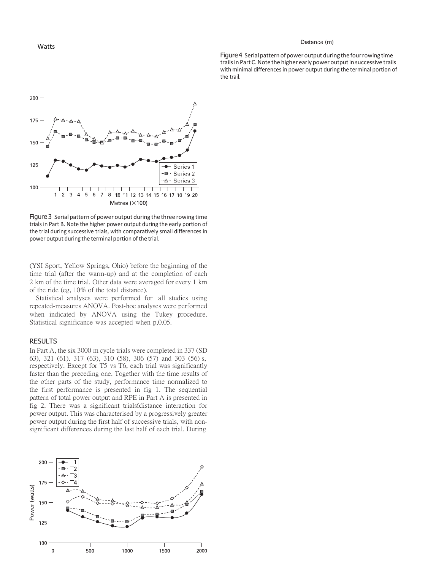#### Distance (m)

Figure 4 Serial pattern of power output during the four rowing time trails in Part C. Note the higher early power output in successive trails with minimal differences in power output during the terminal portion of the trail.



Figure 3 Serial pattern of power output during the three rowing time trials in Part B. Note the higher power output during the early portion of the trial during successive trials, with comparatively small differences in power output during the terminal portion of the trial.

(YSI Sport, Yellow Springs, Ohio) before the beginning of the time trial (after the warm-up) and at the completion of each 2 km of the time trial. Other data were averaged for every 1 km of the ride (eg, 10% of the total distance).

Statistical analyses were performed for all studies using repeated-measures ANOVA. Post-hoc analyses were performed when indicated by ANOVA using the Tukey procedure. Statistical significance was accepted when p,0.05.

# RESULTS

In Part A, the six 3000 m cycle trials were completed in 337 (SD 63), 321 (61). 317 (63), 310 (58), 306 (57) and 303 (56) s, respectively. Except for T5 vs T6, each trial was significantly faster than the preceding one. Together with the time results of the other parts of the study, performance time normalized to the first performance is presented in fig 1. The sequential pattern of total power output and RPE in Part A is presented in fig 2. There was a significant trials6distance interaction for power output. This was characterised by a progressively greater power output during the first half of successive trials, with nonsignificant differences during the last half of each trial. During

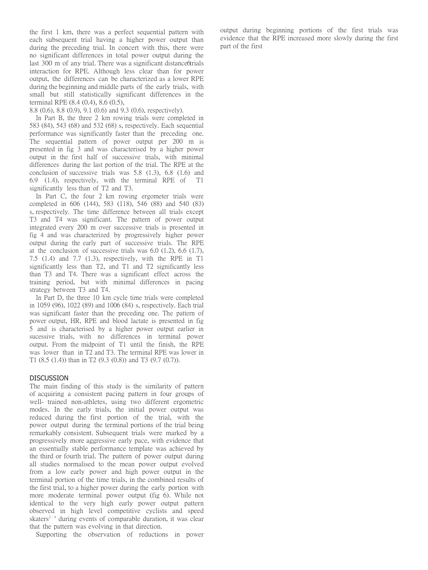the first 1 km, there was a perfect sequential pattern with each subsequent trial having a higher power output than during the preceding trial. In concert with this, there were no significant differences in total power output during the last 300 m of any trial. There was a significant distance6trials interaction for RPE. Although less clear than for power output, the differences can be characterized as a lower RPE during the beginning and middle parts of the early trials, with small but still statistically significant differences in the terminal RPE (8.4 (0.4), 8.6 (0.5),

8.8 (0.6), 8.8 (0.9), 9.1 (0.6) and 9.3 (0.6), respectively).

In Part B, the three 2 km rowing trials were completed in 583 (84), 543 (68) and 532 (68) s, respectively. Each sequential performance was significantly faster than the preceding one. The sequential pattern of power output per 200 m is presented in fig 3 and was characterised by a higher power output in the first half of successive trials, with minimal differences during the last portion of the trial. The RPE at the conclusion of successive trials was 5.8 (1.3), 6.8 (1.6) and 6.9 (1.4), respectively, with the terminal RPE of significantly less than of T2 and T3.

In Part C, the four 2 km rowing ergometer trials were completed in 606 (144), 583 (118), 546 (88) and 540 (83) s, respectively. The time difference between all trials except T3 and T4 was significant. The pattern of power output integrated every 200 m over successive trials is presented in fig 4 and was characterized by progressively higher power output during the early part of successive trials. The RPE at the conclusion of successive trials was 6.0 (1.2), 6.6 (1.7), 7.5 (1.4) and 7.7 (1.3), respectively, with the RPE in T1 significantly less than T2, and T1 and T2 significantly less than T3 and T4. There was a significant effect across the training period, but with minimal differences in pacing strategy between T3 and T4.

In Part D, the three 10 km cycle time trials were completed in 1059 (96), 1022 (89) and 1006 (84) s, respectively. Each trial was significant faster than the preceding one. The pattern of power output, HR, RPE and blood lactate is presented in fig 5 and is characterised by a higher power output earlier in sucessive trials, with no differences in terminal power output. From the midpoint of T1 until the finish, the RPE was lower than in T2 and T3. The terminal RPE was lower in T1 (8.5 (1.4)) than in T2 (9.3 (0.8)) and T3 (9.7 (0.7)).

# DISCUSSION

The main finding of this study is the similarity of pattern of acquiring a consistent pacing pattern in four groups of well- trained non-athletes, using two different ergometric modes. In the early trials, the initial power output was reduced during the first portion of the trial, with the power output during the terminal portions of the trial being remarkably consistent. Subsequent trials were marked by a progressively more aggressive early pace, with evidence that an essentially stable performance template was achieved by the third or fourth trial. The pattern of power output during all studies normalised to the mean power output evolved from a low early power and high power output in the terminal portion of the time trials, in the combined results of the first trial, to a higher power during the early portion with more moderate terminal power output (fig 6). While not identical to the very high early power output pattern observed in high level competitive cyclists and speed skaters<sup>2-4</sup> during events of comparable duration, it was clear that the pattern was evolving in that direction.

Supporting the observation of reductions in power

output during beginning portions of the first trials was evidence that the RPE increased more slowly during the first part of the first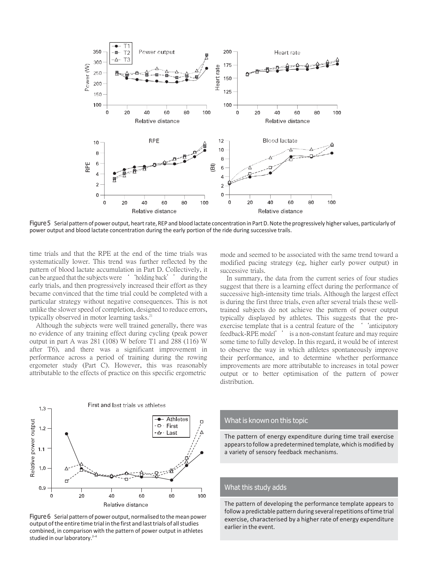

Figure 5 Serial pattern of power output, heart rate, REP and blood lactate concentration in Part D. Note the progressively higher values, particularly of power output and blood lactate concentration during the early portion of the ride during successive trails.

time trials and that the RPE at the end of the time trials was systematically lower. This trend was further reflected by the pattern of blood lactate accumulation in Part D. Collectively, it can be argued that the subjects were ' 'holding back' ' during the early trials, and then progressively increased their effort as they became convinced that the time trial could be completed with a particular strategy without negative consequences. This is not unlike the slower speed of completion, designed to reduce errors, typically observed in motor learning tasks.<sup>21</sup>

Although the subjects were well trained generally, there was no evidence of any training effect during cycling (peak power output in part A was 281 (108) W before T1 and 288 (116) W after T6), and there was a significant improvement in performance across a period of training during the rowing ergometer study (Part C). However, this was reasonably attributable to the effects of practice on this specific ergometric

mode and seemed to be associated with the same trend toward a modified pacing strategy (eg, higher early power output) in successive trials.

In summary, the data from the current series of four studies suggest that there is a learning effect during the performance of successive high-intensity time trials. Although the largest effect is during the first three trials, even after several trials these welltrained subjects do not achieve the pattern of power output typically displayed by athletes. This suggests that the preexercise template that is a central feature of the  $\cdot$  'anticipatory' feedback-RPE model'' is a non-constant feature and may require some time to fully develop. In this regard, it would be of interest to observe the way in which athletes spontaneously improve their performance, and to determine whether performance improvements are more attributable to increases in total power output or to better optimisation of the pattern of power distribution.



Figure 6 Serial pattern of power output, normalised to the mean power output of the entire time trial in the first and last trials of all studies combined, in comparison with the pattern of power output in athletes studied in our laboratory.<sup>2-4</sup>

# What is known on this topic

The pattern of energy expenditure during time trail exercise appearsto follow a predetermined template, which is modified by a variety of sensory feedback mechanisms.

### What this study adds

The pattern of developing the performance template appears to follow a predictable pattern during several repetitions of time trial exercise, characterised by a higher rate of energy expenditure earlier in the event.